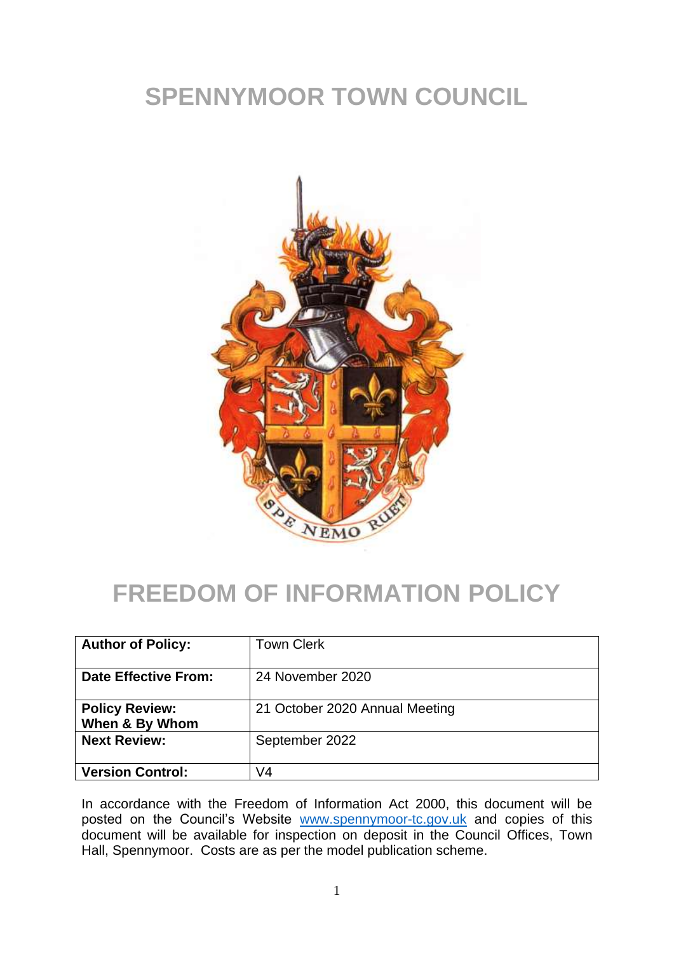# **SPENNYMOOR TOWN COUNCIL**



## **FREEDOM OF INFORMATION POLICY**

| <b>Author of Policy:</b>                | <b>Town Clerk</b>              |
|-----------------------------------------|--------------------------------|
| Date Effective From:                    | 24 November 2020               |
| <b>Policy Review:</b><br>When & By Whom | 21 October 2020 Annual Meeting |
| <b>Next Review:</b>                     | September 2022                 |
| <b>Version Control:</b>                 | V4                             |

In accordance with the Freedom of Information Act 2000, this document will be posted on the Council's Website [www.spennymoor-tc.gov.uk](http://www.spennymoor-tc.gov.uk/) and copies of this document will be available for inspection on deposit in the Council Offices, Town Hall, Spennymoor. Costs are as per the model publication scheme.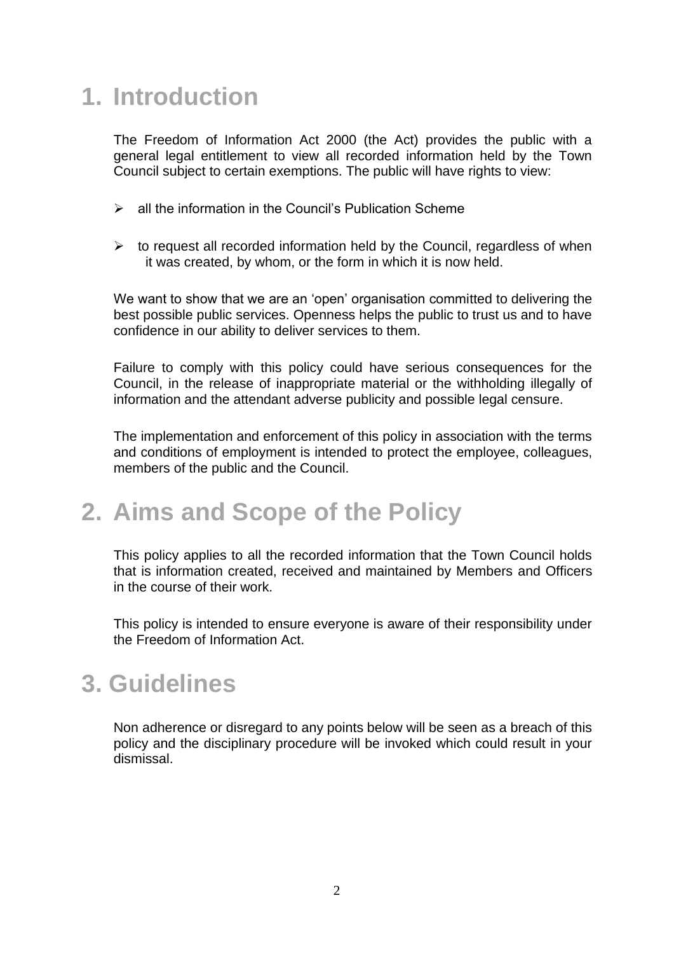# **1. Introduction**

The Freedom of Information Act 2000 (the Act) provides the public with a general legal entitlement to view all recorded information held by the Town Council subject to certain exemptions. The public will have rights to view:

- ➢ all the information in the Council's Publication Scheme
- $\triangleright$  to request all recorded information held by the Council, regardless of when it was created, by whom, or the form in which it is now held.

We want to show that we are an 'open' organisation committed to delivering the best possible public services. Openness helps the public to trust us and to have confidence in our ability to deliver services to them.

Failure to comply with this policy could have serious consequences for the Council, in the release of inappropriate material or the withholding illegally of information and the attendant adverse publicity and possible legal censure.

The implementation and enforcement of this policy in association with the terms and conditions of employment is intended to protect the employee, colleagues, members of the public and the Council.

#### **2. Aims and Scope of the Policy**

This policy applies to all the recorded information that the Town Council holds that is information created, received and maintained by Members and Officers in the course of their work.

This policy is intended to ensure everyone is aware of their responsibility under the Freedom of Information Act.

#### **3. Guidelines**

Non adherence or disregard to any points below will be seen as a breach of this policy and the disciplinary procedure will be invoked which could result in your dismissal.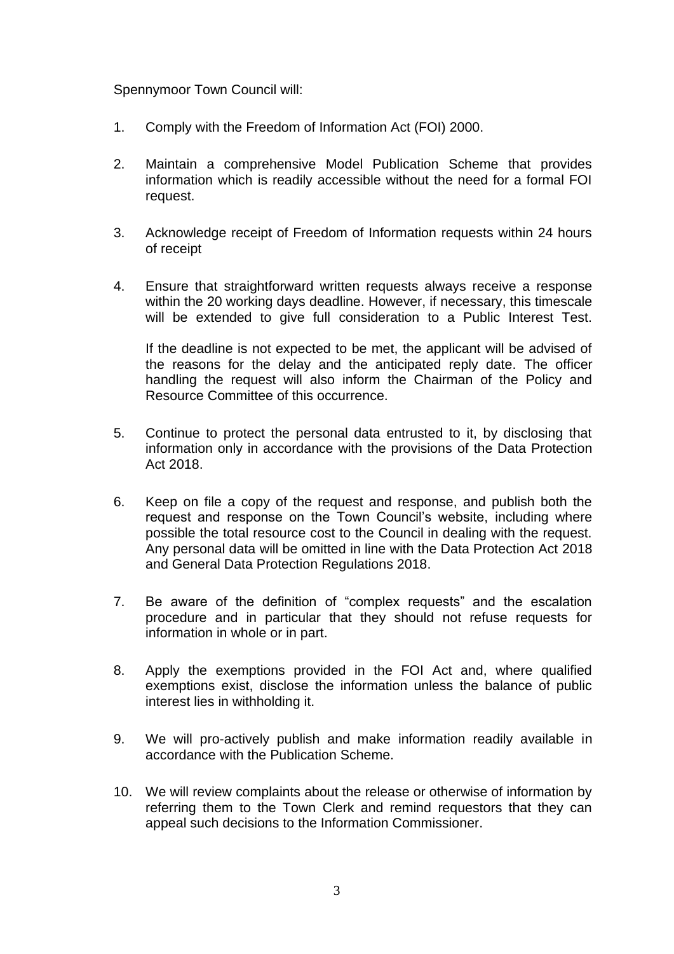#### Spennymoor Town Council will:

- 1. Comply with the Freedom of Information Act (FOI) 2000.
- 2. Maintain a comprehensive Model Publication Scheme that provides information which is readily accessible without the need for a formal FOI request.
- 3. Acknowledge receipt of Freedom of Information requests within 24 hours of receipt
- 4. Ensure that straightforward written requests always receive a response within the 20 working days deadline. However, if necessary, this timescale will be extended to give full consideration to a Public Interest Test.

If the deadline is not expected to be met, the applicant will be advised of the reasons for the delay and the anticipated reply date. The officer handling the request will also inform the Chairman of the Policy and Resource Committee of this occurrence.

- 5. Continue to protect the personal data entrusted to it, by disclosing that information only in accordance with the provisions of the Data Protection Act 2018.
- 6. Keep on file a copy of the request and response, and publish both the request and response on the Town Council's website, including where possible the total resource cost to the Council in dealing with the request. Any personal data will be omitted in line with the Data Protection Act 2018 and General Data Protection Regulations 2018.
- 7. Be aware of the definition of "complex requests" and the escalation procedure and in particular that they should not refuse requests for information in whole or in part.
- 8. Apply the exemptions provided in the FOI Act and, where qualified exemptions exist, disclose the information unless the balance of public interest lies in withholding it.
- 9. We will pro-actively publish and make information readily available in accordance with the Publication Scheme.
- 10. We will review complaints about the release or otherwise of information by referring them to the Town Clerk and remind requestors that they can appeal such decisions to the Information Commissioner.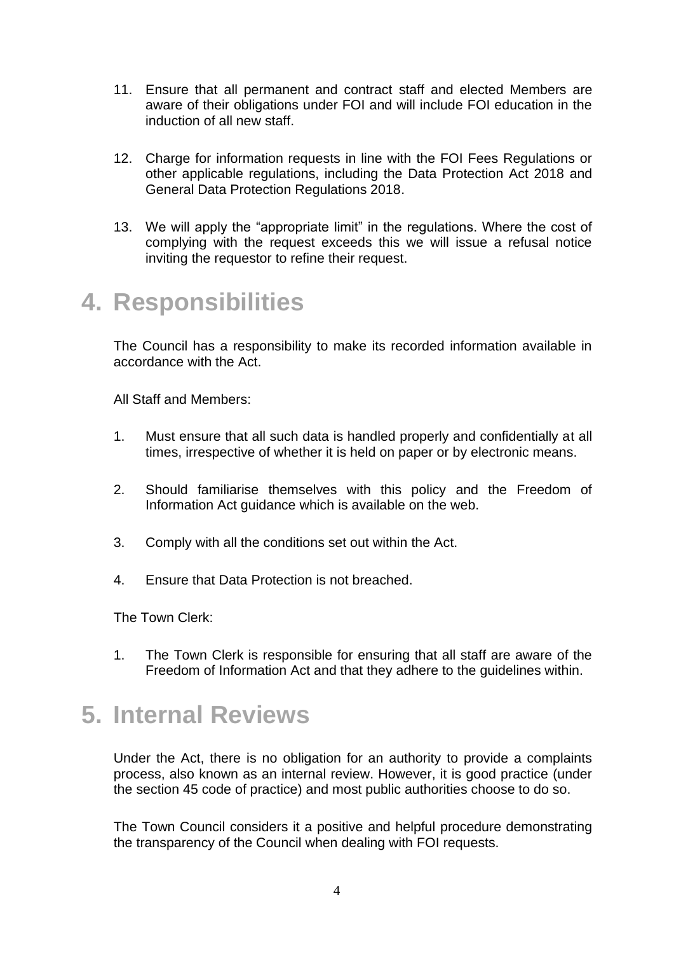- 11. Ensure that all permanent and contract staff and elected Members are aware of their obligations under FOI and will include FOI education in the induction of all new staff.
- 12. Charge for information requests in line with the FOI Fees Regulations or other applicable regulations, including the Data Protection Act 2018 and General Data Protection Regulations 2018.
- 13. We will apply the "appropriate limit" in the regulations. Where the cost of complying with the request exceeds this we will issue a refusal notice inviting the requestor to refine their request.

#### **4. Responsibilities**

The Council has a responsibility to make its recorded information available in accordance with the Act.

All Staff and Members:

- 1. Must ensure that all such data is handled properly and confidentially at all times, irrespective of whether it is held on paper or by electronic means.
- 2. Should familiarise themselves with this policy and the Freedom of Information Act guidance which is available on the web.
- 3. Comply with all the conditions set out within the Act.
- 4. Ensure that Data Protection is not breached.

The Town Clerk:

1. The Town Clerk is responsible for ensuring that all staff are aware of the Freedom of Information Act and that they adhere to the guidelines within.

#### **5. Internal Reviews**

Under the Act, there is no obligation for an authority to provide a complaints process, also known as an internal review. However, it is good practice (under the section 45 code of practice) and most public authorities choose to do so.

The Town Council considers it a positive and helpful procedure demonstrating the transparency of the Council when dealing with FOI requests.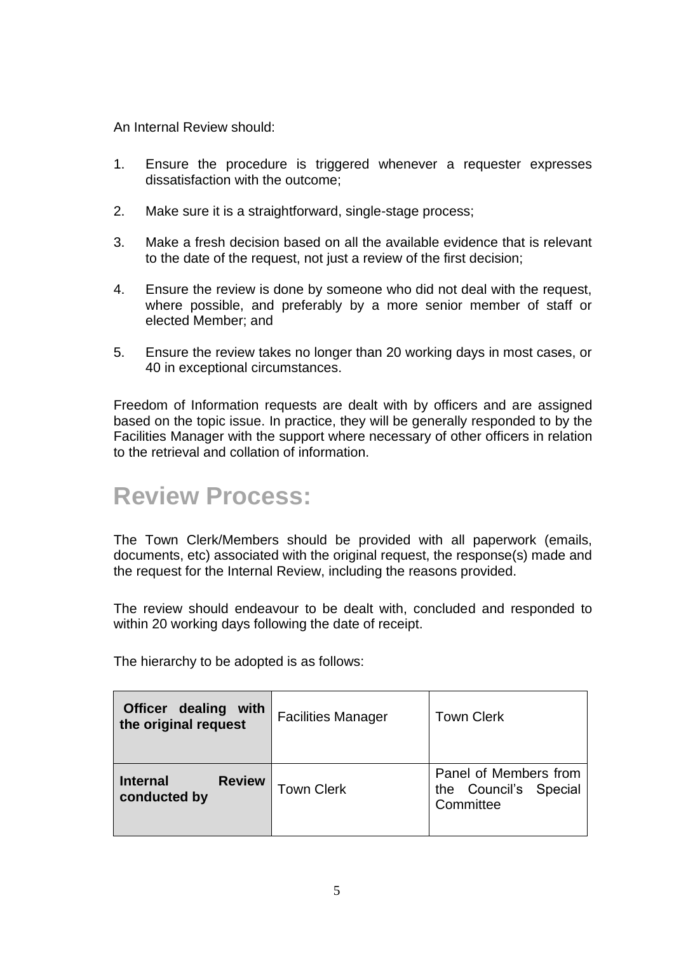An Internal Review should:

- 1. Ensure the procedure is triggered whenever a requester expresses dissatisfaction with the outcome;
- 2. Make sure it is a straightforward, single-stage process;
- 3. Make a fresh decision based on all the available evidence that is relevant to the date of the request, not just a review of the first decision;
- 4. Ensure the review is done by someone who did not deal with the request, where possible, and preferably by a more senior member of staff or elected Member; and
- 5. Ensure the review takes no longer than 20 working days in most cases, or 40 in exceptional circumstances.

Freedom of Information requests are dealt with by officers and are assigned based on the topic issue. In practice, they will be generally responded to by the Facilities Manager with the support where necessary of other officers in relation to the retrieval and collation of information.

#### **Review Process:**

The Town Clerk/Members should be provided with all paperwork (emails, documents, etc) associated with the original request, the response(s) made and the request for the Internal Review, including the reasons provided.

The review should endeavour to be dealt with, concluded and responded to within 20 working days following the date of receipt.

The hierarchy to be adopted is as follows:

| dealing<br>with<br><b>Officer</b><br>the original request | <b>Facilities Manager</b> | <b>Town Clerk</b>                                           |
|-----------------------------------------------------------|---------------------------|-------------------------------------------------------------|
| <b>Review</b><br><b>Internal</b><br>conducted by          | <b>Town Clerk</b>         | Panel of Members from<br>the Council's Special<br>Committee |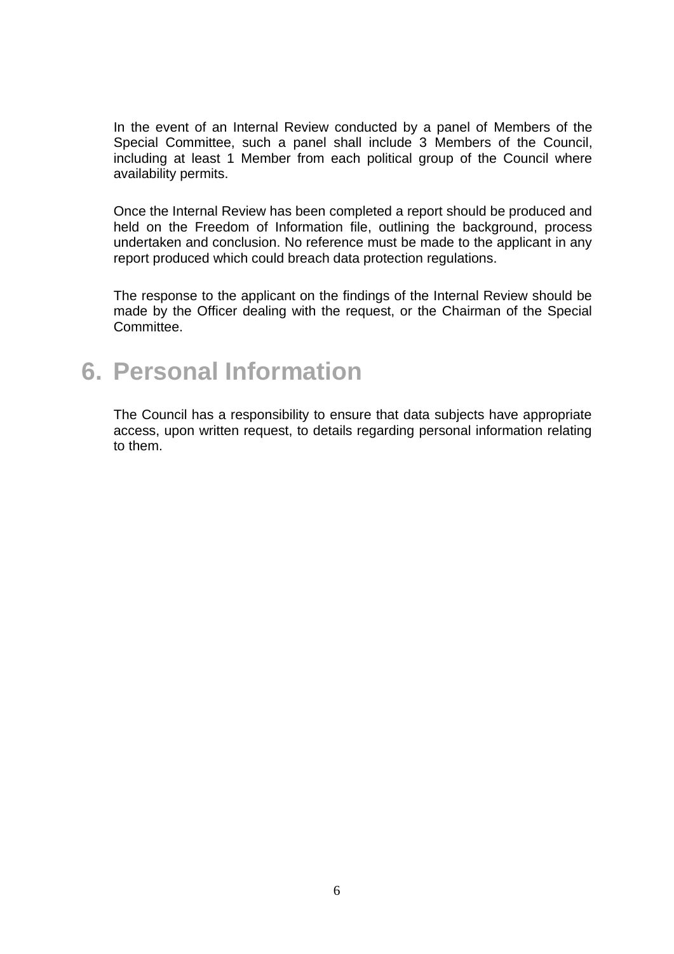In the event of an Internal Review conducted by a panel of Members of the Special Committee, such a panel shall include 3 Members of the Council, including at least 1 Member from each political group of the Council where availability permits.

Once the Internal Review has been completed a report should be produced and held on the Freedom of Information file, outlining the background, process undertaken and conclusion. No reference must be made to the applicant in any report produced which could breach data protection regulations.

The response to the applicant on the findings of the Internal Review should be made by the Officer dealing with the request, or the Chairman of the Special Committee.

#### **6. Personal Information**

The Council has a responsibility to ensure that data subjects have appropriate access, upon written request, to details regarding personal information relating to them.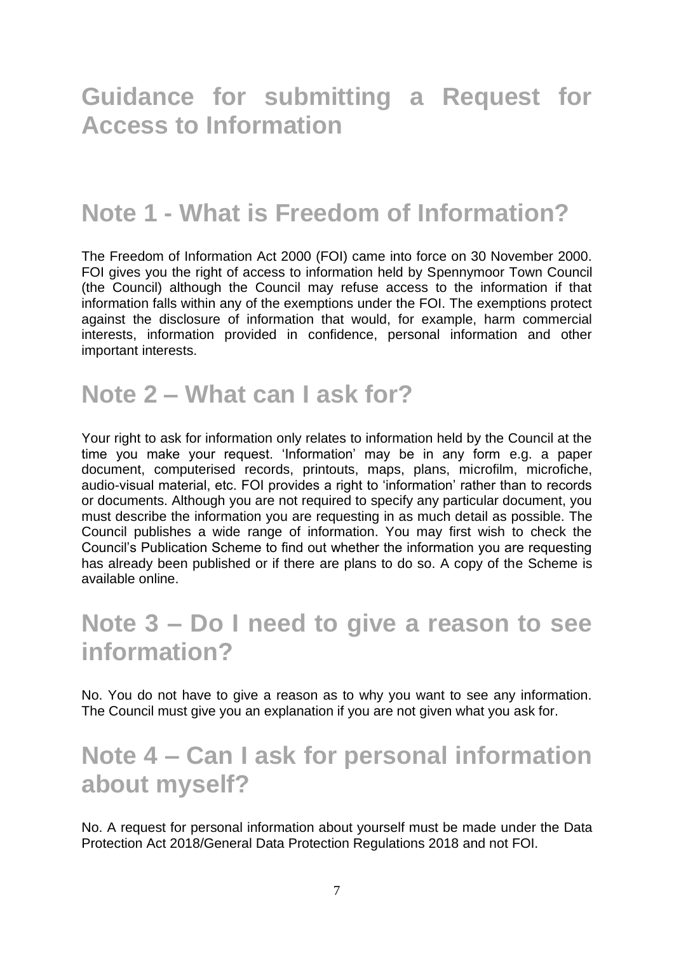## **Guidance for submitting a Request for Access to Information**

## **Note 1 - What is Freedom of Information?**

The Freedom of Information Act 2000 (FOI) came into force on 30 November 2000. FOI gives you the right of access to information held by Spennymoor Town Council (the Council) although the Council may refuse access to the information if that information falls within any of the exemptions under the FOI. The exemptions protect against the disclosure of information that would, for example, harm commercial interests, information provided in confidence, personal information and other important interests.

#### **Note 2 – What can I ask for?**

Your right to ask for information only relates to information held by the Council at the time you make your request. 'Information' may be in any form e.g. a paper document, computerised records, printouts, maps, plans, microfilm, microfiche, audio-visual material, etc. FOI provides a right to 'information' rather than to records or documents. Although you are not required to specify any particular document, you must describe the information you are requesting in as much detail as possible. The Council publishes a wide range of information. You may first wish to check the Council's Publication Scheme to find out whether the information you are requesting has already been published or if there are plans to do so. A copy of the Scheme is available online.

## **Note 3 – Do I need to give a reason to see information?**

No. You do not have to give a reason as to why you want to see any information. The Council must give you an explanation if you are not given what you ask for.

## **Note 4 – Can I ask for personal information about myself?**

No. A request for personal information about yourself must be made under the Data Protection Act 2018/General Data Protection Regulations 2018 and not FOI.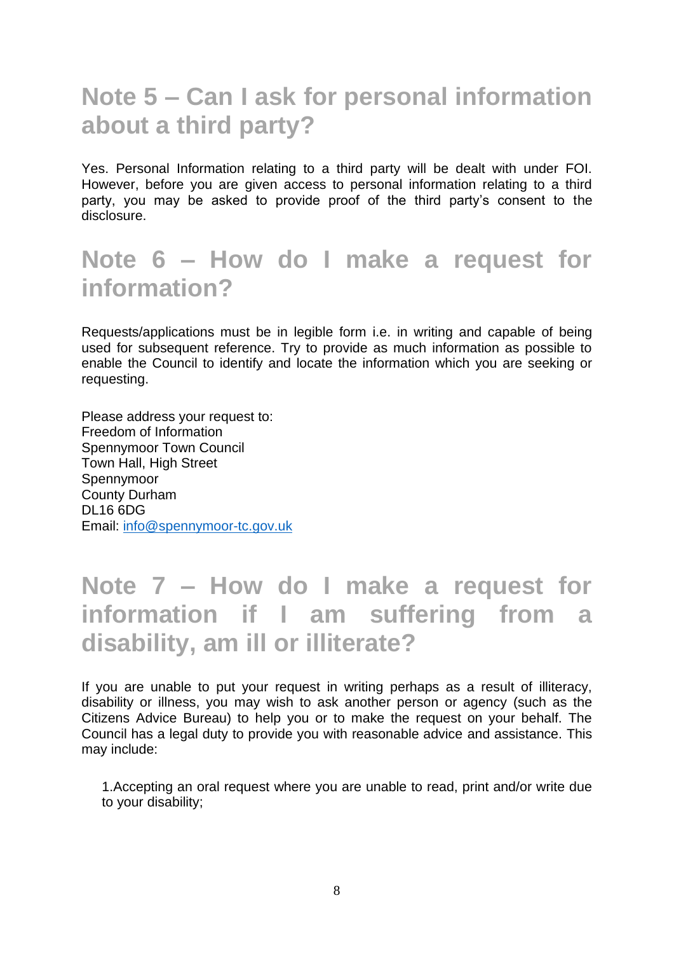## **Note 5 – Can I ask for personal information about a third party?**

Yes. Personal Information relating to a third party will be dealt with under FOI. However, before you are given access to personal information relating to a third party, you may be asked to provide proof of the third party's consent to the disclosure.

## **Note 6 – How do I make a request for information?**

Requests/applications must be in legible form i.e. in writing and capable of being used for subsequent reference. Try to provide as much information as possible to enable the Council to identify and locate the information which you are seeking or requesting.

Please address your request to: Freedom of Information Spennymoor Town Council Town Hall, High Street Spennymoor County Durham DL16 6DG Email: [info@spennymoor-tc.gov.uk](mailto:info@spennymoor-tc.gov.uk)

## **Note 7 – How do I make a request for information if I am suffering from a disability, am ill or illiterate?**

If you are unable to put your request in writing perhaps as a result of illiteracy, disability or illness, you may wish to ask another person or agency (such as the Citizens Advice Bureau) to help you or to make the request on your behalf. The Council has a legal duty to provide you with reasonable advice and assistance. This may include:

1.Accepting an oral request where you are unable to read, print and/or write due to your disability;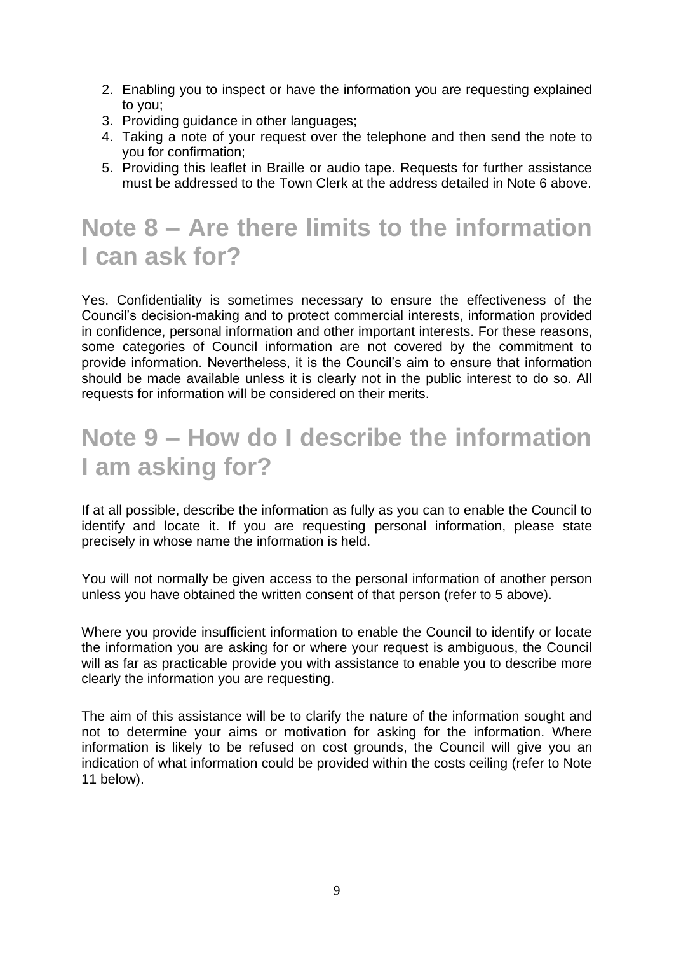- 2. Enabling you to inspect or have the information you are requesting explained to you;
- 3. Providing guidance in other languages;
- 4. Taking a note of your request over the telephone and then send the note to you for confirmation;
- 5. Providing this leaflet in Braille or audio tape. Requests for further assistance must be addressed to the Town Clerk at the address detailed in Note 6 above.

# **Note 8 – Are there limits to the information I can ask for?**

Yes. Confidentiality is sometimes necessary to ensure the effectiveness of the Council's decision-making and to protect commercial interests, information provided in confidence, personal information and other important interests. For these reasons, some categories of Council information are not covered by the commitment to provide information. Nevertheless, it is the Council's aim to ensure that information should be made available unless it is clearly not in the public interest to do so. All requests for information will be considered on their merits.

# **Note 9 – How do I describe the information I am asking for?**

If at all possible, describe the information as fully as you can to enable the Council to identify and locate it. If you are requesting personal information, please state precisely in whose name the information is held.

You will not normally be given access to the personal information of another person unless you have obtained the written consent of that person (refer to 5 above).

Where you provide insufficient information to enable the Council to identify or locate the information you are asking for or where your request is ambiguous, the Council will as far as practicable provide you with assistance to enable you to describe more clearly the information you are requesting.

The aim of this assistance will be to clarify the nature of the information sought and not to determine your aims or motivation for asking for the information. Where information is likely to be refused on cost grounds, the Council will give you an indication of what information could be provided within the costs ceiling (refer to Note 11 below).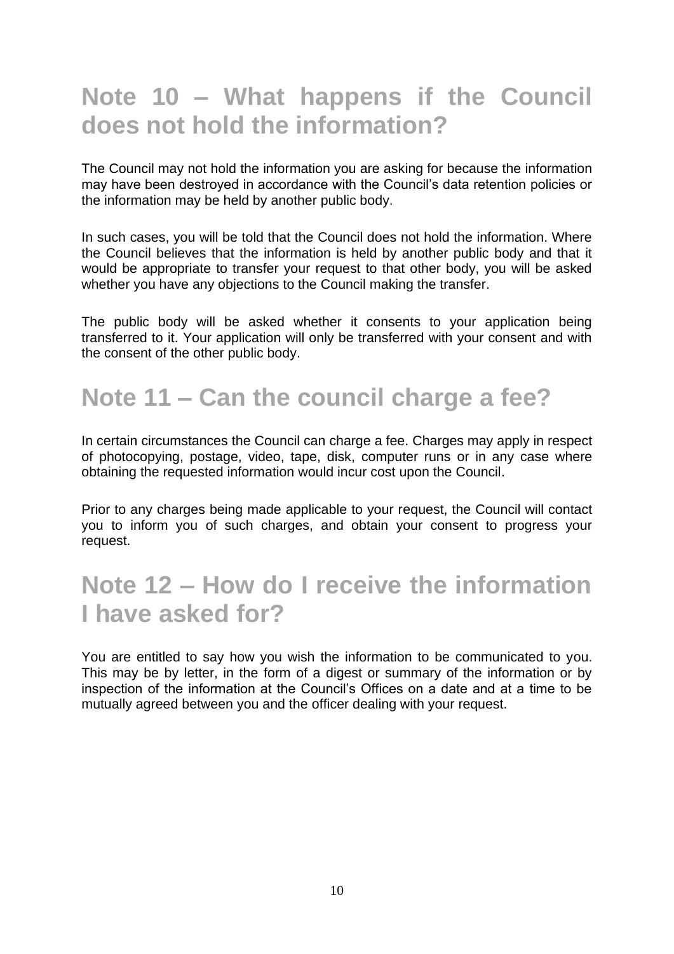## **Note 10 – What happens if the Council does not hold the information?**

The Council may not hold the information you are asking for because the information may have been destroyed in accordance with the Council's data retention policies or the information may be held by another public body.

In such cases, you will be told that the Council does not hold the information. Where the Council believes that the information is held by another public body and that it would be appropriate to transfer your request to that other body, you will be asked whether you have any objections to the Council making the transfer.

The public body will be asked whether it consents to your application being transferred to it. Your application will only be transferred with your consent and with the consent of the other public body.

# **Note 11 – Can the council charge a fee?**

In certain circumstances the Council can charge a fee. Charges may apply in respect of photocopying, postage, video, tape, disk, computer runs or in any case where obtaining the requested information would incur cost upon the Council.

Prior to any charges being made applicable to your request, the Council will contact you to inform you of such charges, and obtain your consent to progress your request.

## **Note 12 – How do I receive the information I have asked for?**

You are entitled to say how you wish the information to be communicated to you. This may be by letter, in the form of a digest or summary of the information or by inspection of the information at the Council's Offices on a date and at a time to be mutually agreed between you and the officer dealing with your request.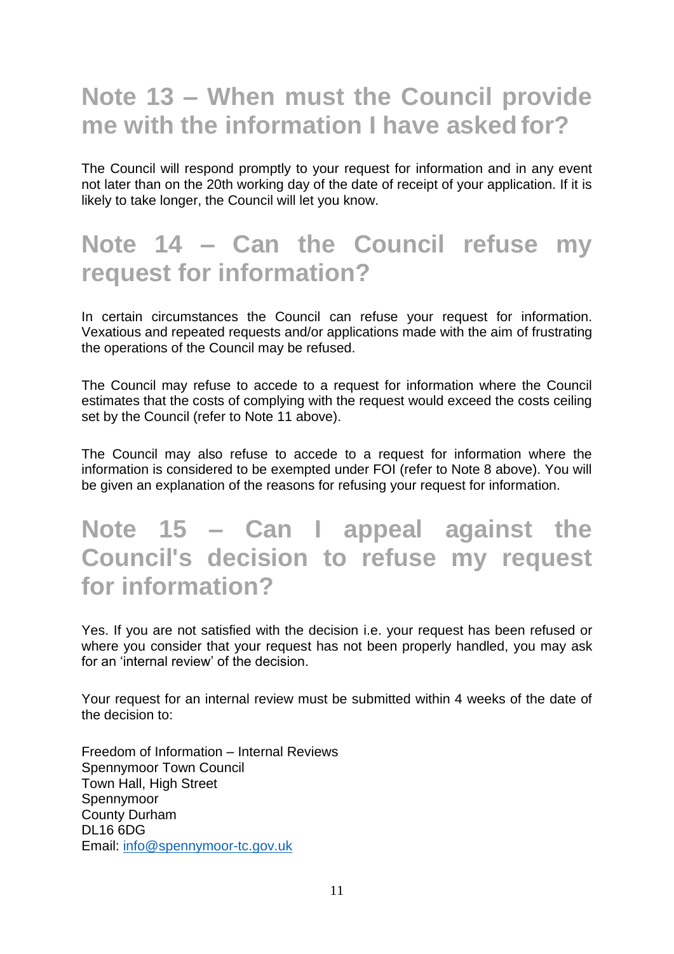## **Note 13 – When must the Council provide me with the information I have asked for?**

The Council will respond promptly to your request for information and in any event not later than on the 20th working day of the date of receipt of your application. If it is likely to take longer, the Council will let you know.

#### **Note 14 – Can the Council refuse my request for information?**

In certain circumstances the Council can refuse your request for information. Vexatious and repeated requests and/or applications made with the aim of frustrating the operations of the Council may be refused.

The Council may refuse to accede to a request for information where the Council estimates that the costs of complying with the request would exceed the costs ceiling set by the Council (refer to Note 11 above).

The Council may also refuse to accede to a request for information where the information is considered to be exempted under FOI (refer to Note 8 above). You will be given an explanation of the reasons for refusing your request for information.

## **Note 15 – Can I appeal against the Council's decision to refuse my request for information?**

Yes. If you are not satisfied with the decision i.e. your request has been refused or where you consider that your request has not been properly handled, you may ask for an 'internal review' of the decision.

Your request for an internal review must be submitted within 4 weeks of the date of the decision to:

Freedom of Information – Internal Reviews Spennymoor Town Council Town Hall, High Street Spennymoor County Durham DL16 6DG Email: [info@spennymoor-tc.gov.uk](mailto:info@spennymoor-tc.gov.uk)